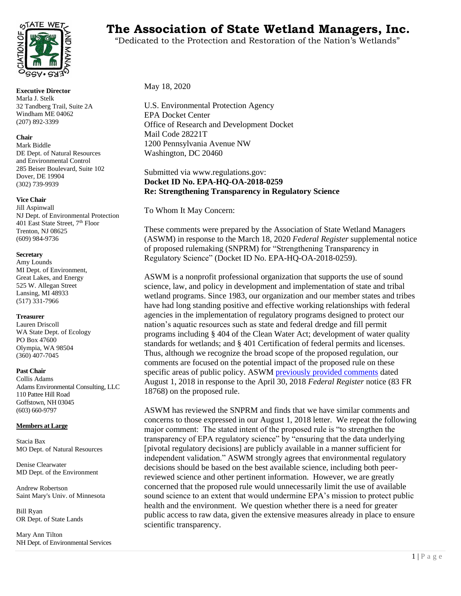

**Executive Director** Marla J. Stelk 32 Tandberg Trail, Suite 2A Windham ME 04062 (207) 892-3399

#### **Chair**

Mark Biddle DE Dept. of Natural Resources and Environmental Control 285 Beiser Boulevard, Suite 102 Dover, DE 19904 (302) 739-9939

#### **Vice Chair**

Jill Aspinwall NJ Dept. of Environmental Protection 401 East State Street, 7<sup>th</sup> Floor Trenton, NJ 08625 (609) 984-9736

#### **Secretary**

Amy Lounds MI Dept. of Environment, Great Lakes, and Energy 525 W. Allegan Street Lansing, MI 48933 (517) 331-7966

#### **Treasurer**

Lauren Driscoll WA State Dept. of Ecology PO Box 47600 Olympia, WA 98504 (360) 407-7045

#### **Past Chair**

Collis Adams Adams Environmental Consulting, LLC 110 Pattee Hill Road Goffstown, NH 03045 (603) 660-9797

#### **Members at Large**

Stacia Bax MO Dept. of Natural Resources

Denise Clearwater MD Dept. of the Environment

Andrew Robertson Saint Mary's Univ. of Minnesota

Bill Ryan OR Dept. of State Lands

Mary Ann Tilton NH Dept. of Environmental Services

# TATE WET<sub>S</sub> The Association of State Wetland Managers, Inc.

"Dedicated to the Protection and Restoration of the Nation's Wetlands"

#### May 18, 2020

U.S. Environmental Protection Agency EPA Docket Center Office of Research and Development Docket Mail Code 28221T 1200 Pennsylvania Avenue NW Washington, DC 20460

#### Submitted via www.regulations.gov: **Docket ID No. EPA-HQ-OA-2018-0259 Re: Strengthening Transparency in Regulatory Science**

To Whom It May Concern:

These comments were prepared by the Association of State Wetland Managers (ASWM) in response to the March 18, 2020 *Federal Register* supplemental notice of proposed rulemaking (SNPRM) for "Strengthening Transparency in Regulatory Science" (Docket ID No. EPA-HQ-OA-2018-0259).

ASWM is a nonprofit professional organization that supports the use of sound science, law, and policy in development and implementation of state and tribal wetland programs. Since 1983, our organization and our member states and tribes have had long standing positive and effective working relationships with federal agencies in the implementation of regulatory programs designed to protect our nation's aquatic resources such as state and federal dredge and fill permit programs including § 404 of the Clean Water Act; development of water quality standards for wetlands; and § 401 Certification of federal permits and licenses. Thus, although we recognize the broad scope of the proposed regulation, our comments are focused on the potential impact of the proposed rule on these specific areas of public policy. ASWM [previously provided comments](https://www.aswm.org/pdf_lib/comment_letter_transparency_regulatory_science_080318.pdf) dated August 1, 2018 in response to the April 30, 2018 *Federal Register* notice (83 FR 18768) on the proposed rule.

ASWM has reviewed the SNPRM and finds that we have similar comments and concerns to those expressed in our August 1, 2018 letter. We repeat the following major comment: The stated intent of the proposed rule is "to strengthen the transparency of EPA regulatory science" by "ensuring that the data underlying [pivotal regulatory decisions] are publicly available in a manner sufficient for independent validation." ASWM strongly agrees that environmental regulatory decisions should be based on the best available science, including both peerreviewed science and other pertinent information. However, we are greatly concerned that the proposed rule would unnecessarily limit the use of available sound science to an extent that would undermine EPA's mission to protect public health and the environment. We question whether there is a need for greater public access to raw data, given the extensive measures already in place to ensure scientific transparency.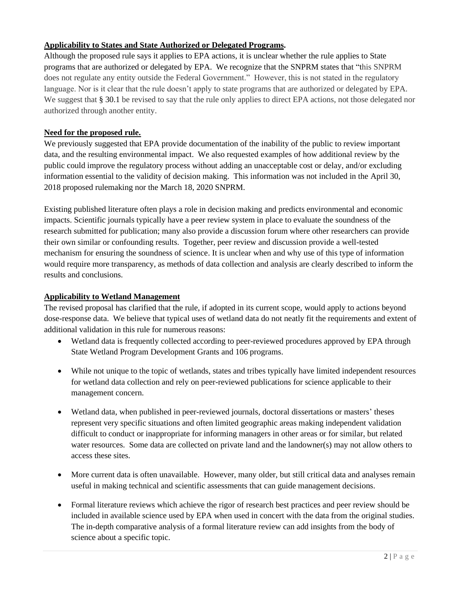# **Applicability to States and State Authorized or Delegated Programs.**

Although the proposed rule says it applies to EPA actions, it is unclear whether the rule applies to State programs that are authorized or delegated by EPA. We recognize that the SNPRM states that "this SNPRM does not regulate any entity outside the Federal Government." However, this is not stated in the regulatory language. Nor is it clear that the rule doesn't apply to state programs that are authorized or delegated by EPA. We suggest that § 30.1 be revised to say that the rule only applies to direct EPA actions, not those delegated nor authorized through another entity.

# **Need for the proposed rule.**

We previously suggested that EPA provide documentation of the inability of the public to review important data, and the resulting environmental impact. We also requested examples of how additional review by the public could improve the regulatory process without adding an unacceptable cost or delay, and/or excluding information essential to the validity of decision making. This information was not included in the April 30, 2018 proposed rulemaking nor the March 18, 2020 SNPRM.

Existing published literature often plays a role in decision making and predicts environmental and economic impacts. Scientific journals typically have a peer review system in place to evaluate the soundness of the research submitted for publication; many also provide a discussion forum where other researchers can provide their own similar or confounding results. Together, peer review and discussion provide a well-tested mechanism for ensuring the soundness of science. It is unclear when and why use of this type of information would require more transparency, as methods of data collection and analysis are clearly described to inform the results and conclusions.

## **Applicability to Wetland Management**

The revised proposal has clarified that the rule, if adopted in its current scope, would apply to actions beyond dose-response data. We believe that typical uses of wetland data do not neatly fit the requirements and extent of additional validation in this rule for numerous reasons:

- Wetland data is frequently collected according to peer-reviewed procedures approved by EPA through State Wetland Program Development Grants and 106 programs.
- While not unique to the topic of wetlands, states and tribes typically have limited independent resources for wetland data collection and rely on peer-reviewed publications for science applicable to their management concern.
- Wetland data, when published in peer-reviewed journals, doctoral dissertations or masters' theses represent very specific situations and often limited geographic areas making independent validation difficult to conduct or inappropriate for informing managers in other areas or for similar, but related water resources. Some data are collected on private land and the landowner(s) may not allow others to access these sites.
- More current data is often unavailable. However, many older, but still critical data and analyses remain useful in making technical and scientific assessments that can guide management decisions.
- Formal literature reviews which achieve the rigor of research best practices and peer review should be included in available science used by EPA when used in concert with the data from the original studies. The in-depth comparative analysis of a formal literature review can add insights from the body of science about a specific topic.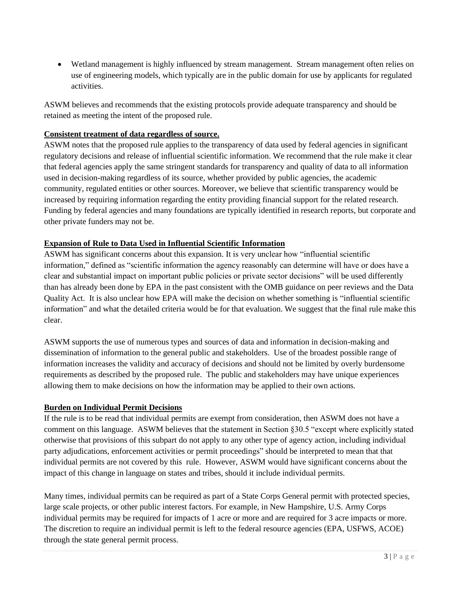• Wetland management is highly influenced by stream management. Stream management often relies on use of engineering models, which typically are in the public domain for use by applicants for regulated activities.

ASWM believes and recommends that the existing protocols provide adequate transparency and should be retained as meeting the intent of the proposed rule.

## **Consistent treatment of data regardless of source.**

ASWM notes that the proposed rule applies to the transparency of data used by federal agencies in significant regulatory decisions and release of influential scientific information. We recommend that the rule make it clear that federal agencies apply the same stringent standards for transparency and quality of data to all information used in decision-making regardless of its source, whether provided by public agencies, the academic community, regulated entities or other sources. Moreover, we believe that scientific transparency would be increased by requiring information regarding the entity providing financial support for the related research. Funding by federal agencies and many foundations are typically identified in research reports, but corporate and other private funders may not be.

# **Expansion of Rule to Data Used in Influential Scientific Information**

ASWM has significant concerns about this expansion. It is very unclear how "influential scientific information," defined as "scientific information the agency reasonably can determine will have or does have a clear and substantial impact on important public policies or private sector decisions" will be used differently than has already been done by EPA in the past consistent with the OMB guidance on peer reviews and the Data Quality Act. It is also unclear how EPA will make the decision on whether something is "influential scientific information" and what the detailed criteria would be for that evaluation. We suggest that the final rule make this clear.

ASWM supports the use of numerous types and sources of data and information in decision-making and dissemination of information to the general public and stakeholders. Use of the broadest possible range of information increases the validity and accuracy of decisions and should not be limited by overly burdensome requirements as described by the proposed rule. The public and stakeholders may have unique experiences allowing them to make decisions on how the information may be applied to their own actions.

# **Burden on Individual Permit Decisions**

If the rule is to be read that individual permits are exempt from consideration, then ASWM does not have a comment on this language. ASWM believes that the statement in Section §30.5 "except where explicitly stated otherwise that provisions of this subpart do not apply to any other type of agency action, including individual party adjudications, enforcement activities or permit proceedings" should be interpreted to mean that that individual permits are not covered by this rule. However, ASWM would have significant concerns about the impact of this change in language on states and tribes, should it include individual permits.

Many times, individual permits can be required as part of a State Corps General permit with protected species, large scale projects, or other public interest factors. For example, in New Hampshire, U.S. Army Corps individual permits may be required for impacts of 1 acre or more and are required for 3 acre impacts or more. The discretion to require an individual permit is left to the federal resource agencies (EPA, USFWS, ACOE) through the state general permit process.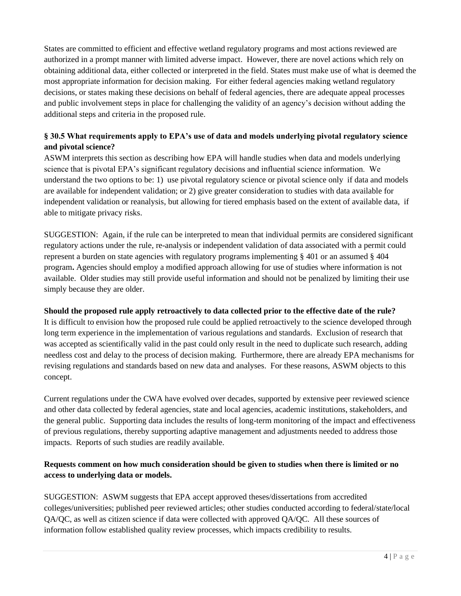States are committed to efficient and effective wetland regulatory programs and most actions reviewed are authorized in a prompt manner with limited adverse impact. However, there are novel actions which rely on obtaining additional data, either collected or interpreted in the field. States must make use of what is deemed the most appropriate information for decision making. For either federal agencies making wetland regulatory decisions, or states making these decisions on behalf of federal agencies, there are adequate appeal processes and public involvement steps in place for challenging the validity of an agency's decision without adding the additional steps and criteria in the proposed rule.

# **§ 30.5 What requirements apply to EPA's use of data and models underlying pivotal regulatory science and pivotal science?**

ASWM interprets this section as describing how EPA will handle studies when data and models underlying science that is pivotal EPA's significant regulatory decisions and influential science information. We understand the two options to be: 1) use pivotal regulatory science or pivotal science only if data and models are available for independent validation; or 2) give greater consideration to studies with data available for independent validation or reanalysis, but allowing for tiered emphasis based on the extent of available data, if able to mitigate privacy risks.

SUGGESTION: Again, if the rule can be interpreted to mean that individual permits are considered significant regulatory actions under the rule, re-analysis or independent validation of data associated with a permit could represent a burden on state agencies with regulatory programs implementing § 401 or an assumed § 404 program**.** Agencies should employ a modified approach allowing for use of studies where information is not available. Older studies may still provide useful information and should not be penalized by limiting their use simply because they are older.

## **Should the proposed rule apply retroactively to data collected prior to the effective date of the rule?**

It is difficult to envision how the proposed rule could be applied retroactively to the science developed through long term experience in the implementation of various regulations and standards. Exclusion of research that was accepted as scientifically valid in the past could only result in the need to duplicate such research, adding needless cost and delay to the process of decision making. Furthermore, there are already EPA mechanisms for revising regulations and standards based on new data and analyses. For these reasons, ASWM objects to this concept.

Current regulations under the CWA have evolved over decades, supported by extensive peer reviewed science and other data collected by federal agencies, state and local agencies, academic institutions, stakeholders, and the general public. Supporting data includes the results of long-term monitoring of the impact and effectiveness of previous regulations, thereby supporting adaptive management and adjustments needed to address those impacts. Reports of such studies are readily available.

# **Requests comment on how much consideration should be given to studies when there is limited or no access to underlying data or models.**

SUGGESTION: ASWM suggests that EPA accept approved theses/dissertations from accredited colleges/universities; published peer reviewed articles; other studies conducted according to federal/state/local QA/QC, as well as citizen science if data were collected with approved QA/QC. All these sources of information follow established quality review processes, which impacts credibility to results.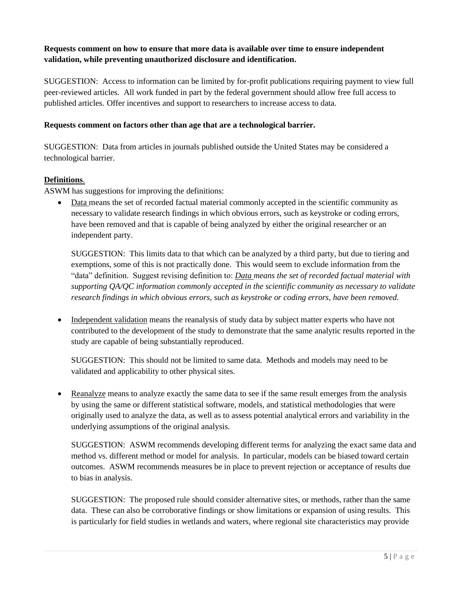## **Requests comment on how to ensure that more data is available over time to ensure independent validation, while preventing unauthorized disclosure and identification.**

SUGGESTION: Access to information can be limited by for-profit publications requiring payment to view full peer-reviewed articles. All work funded in part by the federal government should allow free full access to published articles. Offer incentives and support to researchers to increase access to data.

### **Requests comment on factors other than age that are a technological barrier.**

SUGGESTION: Data from articles in journals published outside the United States may be considered a technological barrier.

### **Definitions**.

ASWM has suggestions for improving the definitions:

• Data means the set of recorded factual material commonly accepted in the scientific community as necessary to validate research findings in which obvious errors, such as keystroke or coding errors, have been removed and that is capable of being analyzed by either the original researcher or an independent party.

SUGGESTION: This limits data to that which can be analyzed by a third party, but due to tiering and exemptions, some of this is not practically done. This would seem to exclude information from the "data" definition. Suggest revising definition to: *Data means the set of recorded factual material with supporting QA/QC information commonly accepted in the scientific community as necessary to validate research findings in which obvious errors, such as keystroke or coding errors, have been removed.*

• Independent validation means the reanalysis of study data by subject matter experts who have not contributed to the development of the study to demonstrate that the same analytic results reported in the study are capable of being substantially reproduced.

SUGGESTION: This should not be limited to same data. Methods and models may need to be validated and applicability to other physical sites.

• Reanalyze means to analyze exactly the same data to see if the same result emerges from the analysis by using the same or different statistical software, models, and statistical methodologies that were originally used to analyze the data, as well as to assess potential analytical errors and variability in the underlying assumptions of the original analysis.

SUGGESTION: ASWM recommends developing different terms for analyzing the exact same data and method vs. different method or model for analysis. In particular, models can be biased toward certain outcomes. ASWM recommends measures be in place to prevent rejection or acceptance of results due to bias in analysis.

SUGGESTION: The proposed rule should consider alternative sites, or methods, rather than the same data. These can also be corroborative findings or show limitations or expansion of using results. This is particularly for field studies in wetlands and waters, where regional site characteristics may provide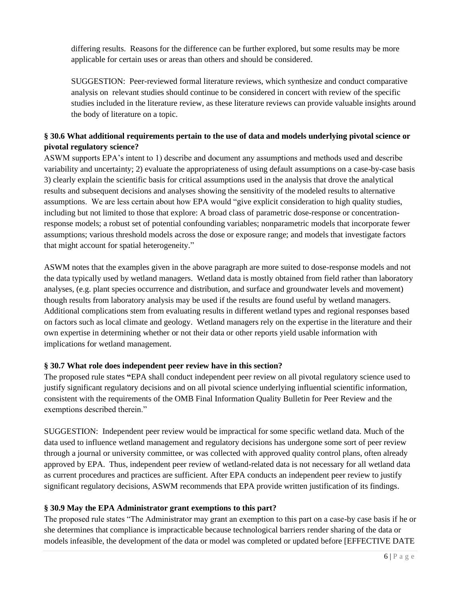differing results. Reasons for the difference can be further explored, but some results may be more applicable for certain uses or areas than others and should be considered.

SUGGESTION: Peer-reviewed formal literature reviews, which synthesize and conduct comparative analysis on relevant studies should continue to be considered in concert with review of the specific studies included in the literature review, as these literature reviews can provide valuable insights around the body of literature on a topic.

## **§ 30.6 What additional requirements pertain to the use of data and models underlying pivotal science or pivotal regulatory science?**

ASWM supports EPA's intent to 1) describe and document any assumptions and methods used and describe variability and uncertainty; 2) evaluate the appropriateness of using default assumptions on a case-by-case basis 3) clearly explain the scientific basis for critical assumptions used in the analysis that drove the analytical results and subsequent decisions and analyses showing the sensitivity of the modeled results to alternative assumptions. We are less certain about how EPA would "give explicit consideration to high quality studies, including but not limited to those that explore: A broad class of parametric dose-response or concentrationresponse models; a robust set of potential confounding variables; nonparametric models that incorporate fewer assumptions; various threshold models across the dose or exposure range; and models that investigate factors that might account for spatial heterogeneity."

ASWM notes that the examples given in the above paragraph are more suited to dose-response models and not the data typically used by wetland managers. Wetland data is mostly obtained from field rather than laboratory analyses, (e.g. plant species occurrence and distribution, and surface and groundwater levels and movement) though results from laboratory analysis may be used if the results are found useful by wetland managers. Additional complications stem from evaluating results in different wetland types and regional responses based on factors such as local climate and geology. Wetland managers rely on the expertise in the literature and their own expertise in determining whether or not their data or other reports yield usable information with implications for wetland management.

## **§ 30.7 What role does independent peer review have in this section?**

The proposed rule states **"**EPA shall conduct independent peer review on all pivotal regulatory science used to justify significant regulatory decisions and on all pivotal science underlying influential scientific information, consistent with the requirements of the OMB Final Information Quality Bulletin for Peer Review and the exemptions described therein."

SUGGESTION: Independent peer review would be impractical for some specific wetland data. Much of the data used to influence wetland management and regulatory decisions has undergone some sort of peer review through a journal or university committee, or was collected with approved quality control plans, often already approved by EPA. Thus, independent peer review of wetland-related data is not necessary for all wetland data as current procedures and practices are sufficient. After EPA conducts an independent peer review to justify significant regulatory decisions, ASWM recommends that EPA provide written justification of its findings.

## **§ 30.9 May the EPA Administrator grant exemptions to this part?**

The proposed rule states "The Administrator may grant an exemption to this part on a case-by case basis if he or she determines that compliance is impracticable because technological barriers render sharing of the data or models infeasible, the development of the data or model was completed or updated before [EFFECTIVE DATE